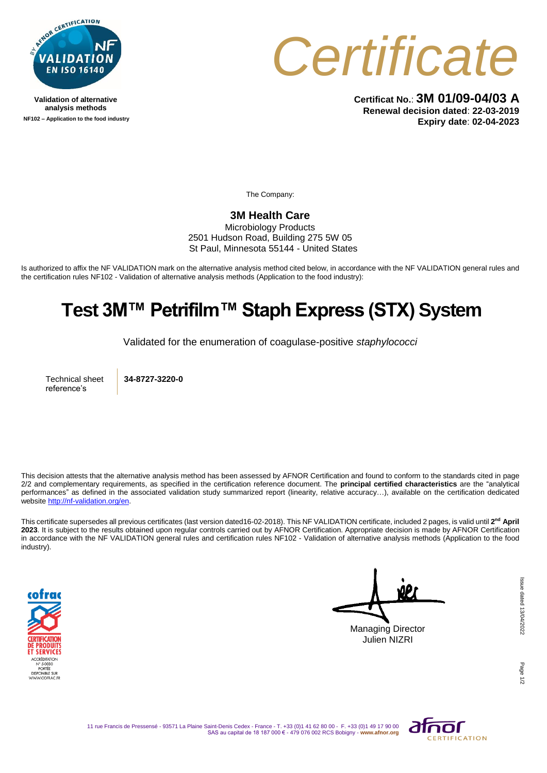

**Validation of alternative analysis methods NF102 – Application to the food industry**



**Certificat No.**: **3M 01/09-04/03 A Renewal decision dated**: **22-03-2019 Expiry date**: **02-04-2023**

The Company:

## **3M Health Care**

Microbiology Products 2501 Hudson Road, Building 275 5W 05 St Paul, Minnesota 55144 - United States

Is authorized to affix the NF VALIDATION mark on the alternative analysis method cited below, in accordance with the NF VALIDATION general rules and the certification rules NF102 - Validation of alternative analysis methods (Application to the food industry):

## **Test 3M™ Petrifilm™ Staph Express (STX) System**

Validated for the enumeration of coagulase-positive *staphylococci*

Technical sheet reference's

**34-8727-3220-0**

This decision attests that the alternative analysis method has been assessed by AFNOR Certification and found to conform to the standards cited in page 2/2 and complementary requirements, as specified in the certification reference document. The **principal certified characteristics** are the "analytical performances" as defined in the associated validation study summarized report (linearity, relative accuracy…), available on the certification dedicated websit[e http://nf-validation.org/en.](http://nf-validation.org/en)

This certificate supersedes all previous certificates (last version dated16-02-2018). This NF VALIDATION certificate, included 2 pages, is valid until **2 nd April 2023**. It is subject to the results obtained upon regular controls carried out by AFNOR Certification. Appropriate decision is made by AFNOR Certification in accordance with the NF VALIDATION general rules and certification rules NF102 - Validation of alternative analysis methods (Application to the food industry).



Managing Director Julien NIZRI

Page